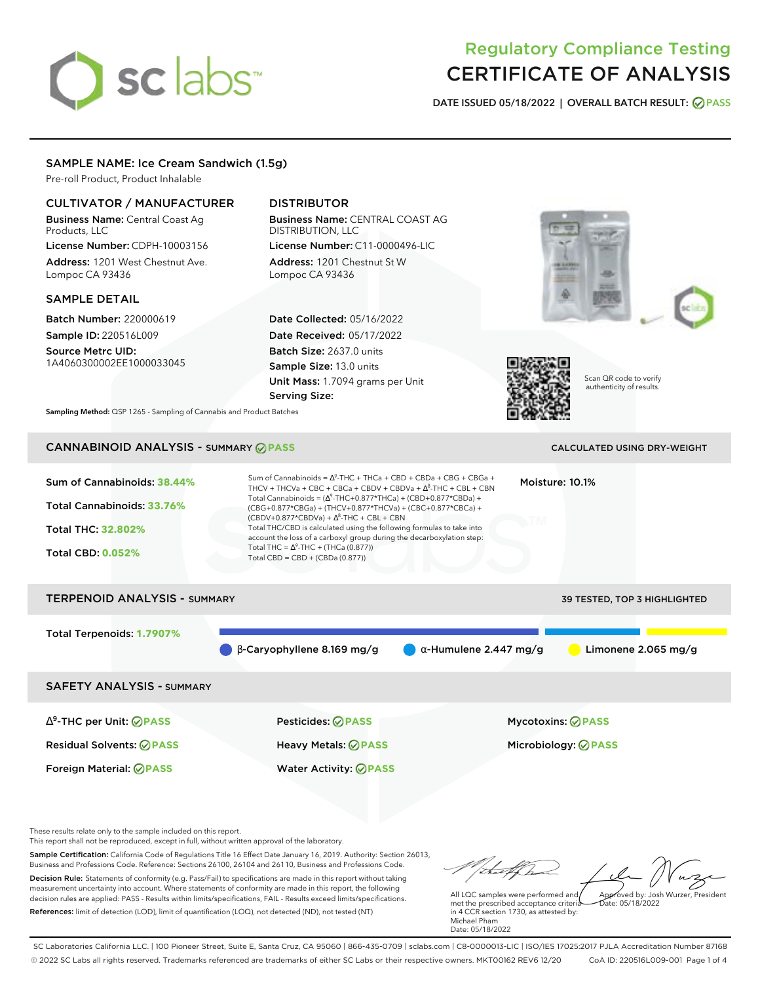# sclabs<sup>\*</sup>

# Regulatory Compliance Testing CERTIFICATE OF ANALYSIS

**DATE ISSUED 05/18/2022 | OVERALL BATCH RESULT: PASS**

# SAMPLE NAME: Ice Cream Sandwich (1.5g)

Pre-roll Product, Product Inhalable

# CULTIVATOR / MANUFACTURER

Business Name: Central Coast Ag Products, LLC

License Number: CDPH-10003156 Address: 1201 West Chestnut Ave. Lompoc CA 93436

# SAMPLE DETAIL

Batch Number: 220000619 Sample ID: 220516L009

Source Metrc UID: 1A4060300002EE1000033045

# DISTRIBUTOR

Business Name: CENTRAL COAST AG DISTRIBUTION, LLC License Number: C11-0000496-LIC

Address: 1201 Chestnut St W Lompoc CA 93436

Date Collected: 05/16/2022 Date Received: 05/17/2022 Batch Size: 2637.0 units Sample Size: 13.0 units Unit Mass: 1.7094 grams per Unit Serving Size:





Scan QR code to verify authenticity of results.

**Sampling Method:** QSP 1265 - Sampling of Cannabis and Product Batches

# CANNABINOID ANALYSIS - SUMMARY **PASS** CALCULATED USING DRY-WEIGHT

| Sum of Cannabinoids: 38.44%<br>Total Cannabinoids: 33.76%<br><b>Total THC: 32,802%</b><br><b>Total CBD: 0.052%</b> | Sum of Cannabinoids = $\Lambda^9$ -THC + THCa + CBD + CBDa + CBG + CBGa +<br>THCV + THCVa + CBC + CBCa + CBDV + CBDVa + $\Delta^8$ -THC + CBL + CBN<br>Total Cannabinoids = $(\Delta^9$ -THC+0.877*THCa) + (CBD+0.877*CBDa) +<br>(CBG+0.877*CBGa) + (THCV+0.877*THCVa) + (CBC+0.877*CBCa) +<br>$(CBDV+0.877*CBDVa) + \Delta^{8}$ -THC + CBL + CBN<br>Total THC/CBD is calculated using the following formulas to take into<br>account the loss of a carboxyl group during the decarboxylation step:<br>Total THC = $\Delta^9$ -THC + (THCa (0.877))<br>Total CBD = $CBD + (CBDa (0.877))$ |                               | Moisture: 10.1%                                 |
|--------------------------------------------------------------------------------------------------------------------|-------------------------------------------------------------------------------------------------------------------------------------------------------------------------------------------------------------------------------------------------------------------------------------------------------------------------------------------------------------------------------------------------------------------------------------------------------------------------------------------------------------------------------------------------------------------------------------------|-------------------------------|-------------------------------------------------|
| <b>TERPENOID ANALYSIS - SUMMARY</b>                                                                                |                                                                                                                                                                                                                                                                                                                                                                                                                                                                                                                                                                                           |                               | 39 TESTED, TOP 3 HIGHLIGHTED                    |
| Total Terpenoids: 1.7907%                                                                                          | $\beta$ -Caryophyllene 8.169 mg/g                                                                                                                                                                                                                                                                                                                                                                                                                                                                                                                                                         | $\alpha$ -Humulene 2.447 mg/g | Limonene $2.065$ mg/g                           |
| <b>SAFETY ANALYSIS - SUMMARY</b>                                                                                   |                                                                                                                                                                                                                                                                                                                                                                                                                                                                                                                                                                                           |                               |                                                 |
| $\Delta^9$ -THC per Unit: $\oslash$ PASS<br><b>Residual Solvents: ØPASS</b>                                        | <b>Pesticides: ⊘ PASS</b><br><b>Heavy Metals: ⊘ PASS</b>                                                                                                                                                                                                                                                                                                                                                                                                                                                                                                                                  |                               | Mycotoxins: ⊘PASS<br>Microbiology: <b>⊘PASS</b> |

These results relate only to the sample included on this report.

This report shall not be reproduced, except in full, without written approval of the laboratory.

Sample Certification: California Code of Regulations Title 16 Effect Date January 16, 2019. Authority: Section 26013, Business and Professions Code. Reference: Sections 26100, 26104 and 26110, Business and Professions Code. Decision Rule: Statements of conformity (e.g. Pass/Fail) to specifications are made in this report without taking measurement uncertainty into account. Where statements of conformity are made in this report, the following decision rules are applied: PASS - Results within limits/specifications, FAIL - Results exceed limits/specifications.

Foreign Material: **PASS** Water Activity: **PASS**

References: limit of detection (LOD), limit of quantification (LOQ), not detected (ND), not tested (NT)

tal f ha Approved by: Josh Wurzer, President

Date: 05/18/2022

All LQC samples were performed and met the prescribed acceptance criteria in 4 CCR section 1730, as attested by: Michael Pham Date: 05/18/2022

SC Laboratories California LLC. | 100 Pioneer Street, Suite E, Santa Cruz, CA 95060 | 866-435-0709 | sclabs.com | C8-0000013-LIC | ISO/IES 17025:2017 PJLA Accreditation Number 87168 © 2022 SC Labs all rights reserved. Trademarks referenced are trademarks of either SC Labs or their respective owners. MKT00162 REV6 12/20 CoA ID: 220516L009-001 Page 1 of 4